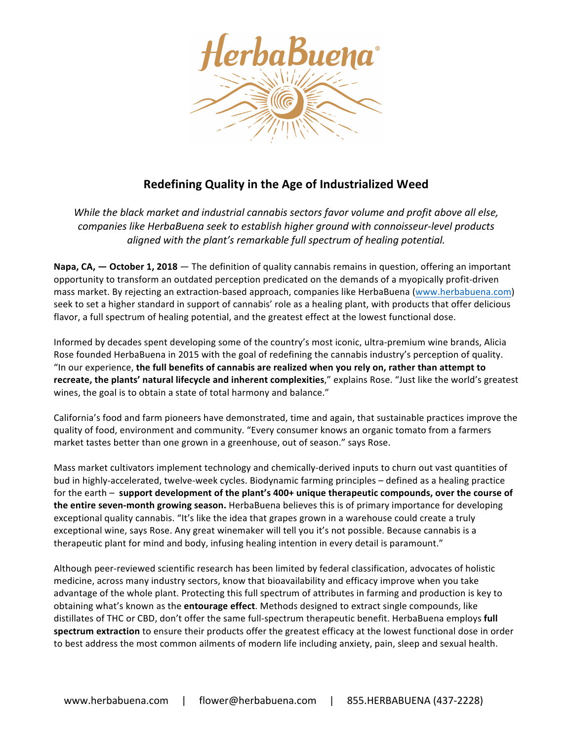

## **Redefining Quality in the Age of Industrialized Weed**

*While the black market and industrial cannabis sectors favor volume and profit above all else,* companies like HerbaBuena seek to establish higher ground with connoisseur-level products *aligned* with the plant's remarkable full spectrum of healing potential.

**Napa, CA, — October 1, 2018** — The definition of quality cannabis remains in question, offering an important opportunity to transform an outdated perception predicated on the demands of a myopically profit-driven mass market. By rejecting an extraction-based approach, companies like HerbaBuena [\(www.herbabuena.com](http://www.herbabuena.com)) seek to set a higher standard in support of cannabis' role as a healing plant, with products that offer delicious flavor, a full spectrum of healing potential, and the greatest effect at the lowest functional dose.

Informed by decades spent developing some of the country's most iconic, ultra-premium wine brands, Alicia Rose founded HerbaBuena in 2015 with the goal of redefining the cannabis industry's perception of quality. "In our experience, the full benefits of cannabis are realized when you rely on, rather than attempt to recreate, the plants' natural lifecycle and inherent complexities," explains Rose. "Just like the world's greatest wines, the goal is to obtain a state of total harmony and balance."

California's food and farm pioneers have demonstrated, time and again, that sustainable practices improve the quality of food, environment and community. "Every consumer knows an organic tomato from a farmers market tastes better than one grown in a greenhouse, out of season." says Rose.

Mass market cultivators implement technology and chemically-derived inputs to churn out vast quantities of bud in highly-accelerated, twelve-week cycles. Biodynamic farming principles – defined as a healing practice for the earth – support development of the plant's 400+ unique therapeutic compounds, over the course of **the entire seven-month growing season.** HerbaBuena believes this is of primary importance for developing exceptional quality cannabis. "It's like the idea that grapes grown in a warehouse could create a truly exceptional wine, says Rose. Any great winemaker will tell you it's not possible. Because cannabis is a therapeutic plant for mind and body, infusing healing intention in every detail is paramount."

Although peer-reviewed scientific research has been limited by federal classification, advocates of holistic medicine, across many industry sectors, know that bioavailability and efficacy improve when you take advantage of the whole plant. Protecting this full spectrum of attributes in farming and production is key to obtaining what's known as the **entourage effect**. Methods designed to extract single compounds, like distillates of THC or CBD, don't offer the same full-spectrum therapeutic benefit. HerbaBuena employs **full spectrum extraction** to ensure their products offer the greatest efficacy at the lowest functional dose in order to best address the most common ailments of modern life including anxiety, pain, sleep and sexual health.